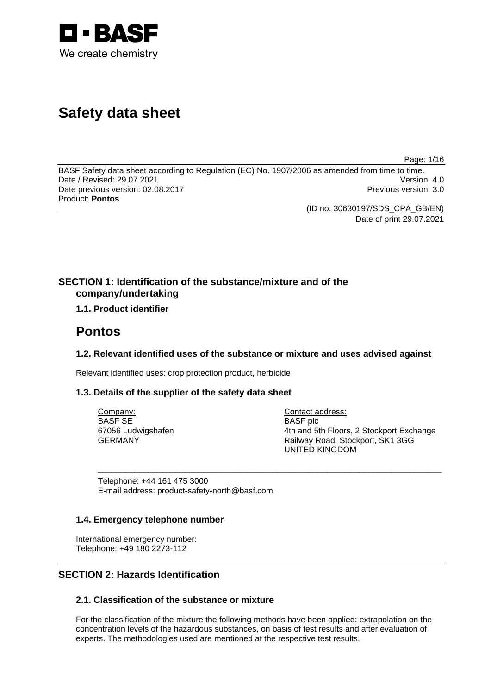

# **Safety data sheet**

Page: 1/16

BASF Safety data sheet according to Regulation (EC) No. 1907/2006 as amended from time to time. Date / Revised: 29.07.2021 Version: 4.0 Date previous version: 02.08.2017 **Previous version: 3.0** Previous version: 3.0 Product: **Pontos** 

(ID no. 30630197/SDS\_CPA\_GB/EN)

Date of print 29.07.2021

# **SECTION 1: Identification of the substance/mixture and of the company/undertaking**

# **1.1. Product identifier**

# **Pontos**

# **1.2. Relevant identified uses of the substance or mixture and uses advised against**

\_\_\_\_\_\_\_\_\_\_\_\_\_\_\_\_\_\_\_\_\_\_\_\_\_\_\_\_\_\_\_\_\_\_\_\_\_\_\_\_\_\_\_\_\_\_\_\_\_\_\_\_\_\_\_\_\_\_\_\_\_\_\_\_\_\_\_\_\_\_\_\_\_\_\_

Relevant identified uses: crop protection product, herbicide

## **1.3. Details of the supplier of the safety data sheet**

Company: BASF SE 67056 Ludwigshafen GERMANY

Contact address: BASF plc 4th and 5th Floors, 2 Stockport Exchange Railway Road, Stockport, SK1 3GG UNITED KINGDOM

Telephone: +44 161 475 3000 E-mail address: product-safety-north@basf.com

## **1.4. Emergency telephone number**

International emergency number: Telephone: +49 180 2273-112

# **SECTION 2: Hazards Identification**

# **2.1. Classification of the substance or mixture**

For the classification of the mixture the following methods have been applied: extrapolation on the concentration levels of the hazardous substances, on basis of test results and after evaluation of experts. The methodologies used are mentioned at the respective test results.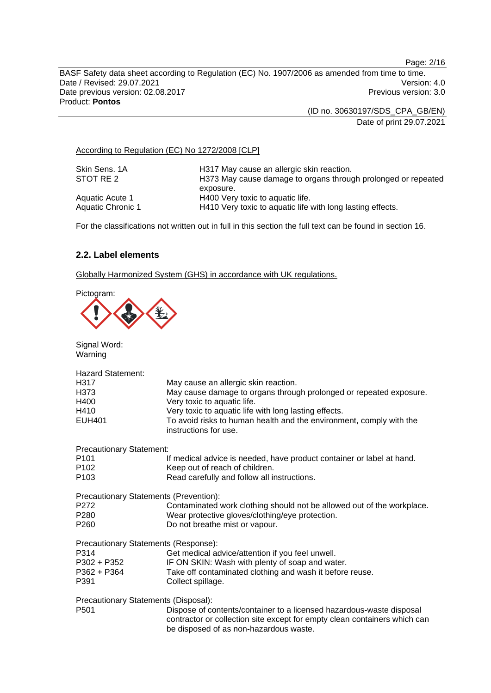Page: 2/16

BASF Safety data sheet according to Regulation (EC) No. 1907/2006 as amended from time to time. Date / Revised: 29.07.2021 Version: 4.0 Date previous version: 02.08.2017 **Previous version: 3.0** Previous version: 3.0 Product: **Pontos** 

> (ID no. 30630197/SDS\_CPA\_GB/EN) Date of print 29.07.2021

According to Regulation (EC) No 1272/2008 [CLP]

| Skin Sens, 1A     | H317 May cause an allergic skin reaction.                     |
|-------------------|---------------------------------------------------------------|
| STOT RE 2         | H373 May cause damage to organs through prolonged or repeated |
|                   | exposure.                                                     |
| Aquatic Acute 1   | H400 Very toxic to aquatic life.                              |
| Aquatic Chronic 1 | H410 Very toxic to aquatic life with long lasting effects.    |

For the classifications not written out in full in this section the full text can be found in section 16.

## **2.2. Label elements**

Globally Harmonized System (GHS) in accordance with UK regulations.

Pictogram:

| Signal Word:<br>Warning                                                                     |                                                                                                                                                                                                                                                                                                    |
|---------------------------------------------------------------------------------------------|----------------------------------------------------------------------------------------------------------------------------------------------------------------------------------------------------------------------------------------------------------------------------------------------------|
| <b>Hazard Statement:</b><br>H317<br>H373<br>H400<br>H410<br><b>EUH401</b>                   | May cause an allergic skin reaction.<br>May cause damage to organs through prolonged or repeated exposure.<br>Very toxic to aquatic life.<br>Very toxic to aquatic life with long lasting effects.<br>To avoid risks to human health and the environment, comply with the<br>instructions for use. |
| <b>Precautionary Statement:</b><br>P <sub>101</sub><br>P <sub>102</sub><br>P <sub>103</sub> | If medical advice is needed, have product container or label at hand.<br>Keep out of reach of children.<br>Read carefully and follow all instructions.                                                                                                                                             |
| Precautionary Statements (Prevention):<br>P272<br>P280<br>P <sub>260</sub>                  | Contaminated work clothing should not be allowed out of the workplace.<br>Wear protective gloves/clothing/eye protection.<br>Do not breathe mist or vapour.                                                                                                                                        |
| Precautionary Statements (Response):<br>P314<br>P302 + P352<br>P362 + P364<br>P391          | Get medical advice/attention if you feel unwell.<br>IF ON SKIN: Wash with plenty of soap and water.<br>Take off contaminated clothing and wash it before reuse.<br>Collect spillage.                                                                                                               |
| Precautionary Statements (Disposal):<br>P <sub>501</sub>                                    | Dispose of contents/container to a licensed hazardous-waste disposal<br>contractor or collection site except for empty clean containers which can<br>be disposed of as non-hazardous waste.                                                                                                        |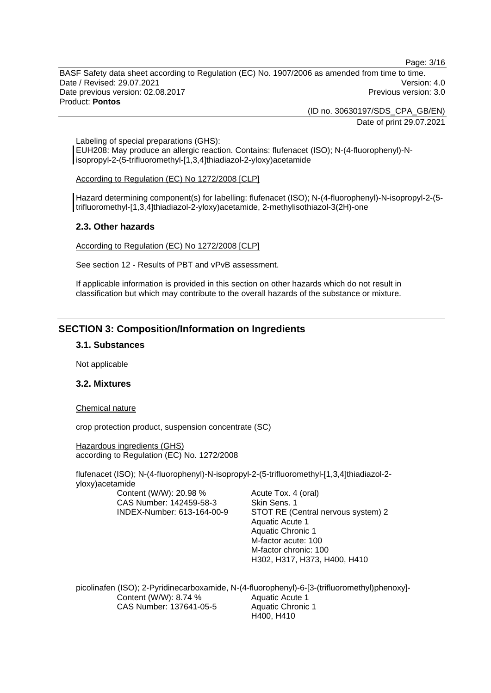Page: 3/16

BASF Safety data sheet according to Regulation (EC) No. 1907/2006 as amended from time to time. Date / Revised: 29.07.2021 Version: 4.0 Date previous version: 02.08.2017 **Previous version: 3.0** Previous version: 3.0 Product: **Pontos** 

> (ID no. 30630197/SDS\_CPA\_GB/EN) Date of print 29.07.2021

Labeling of special preparations (GHS): EUH208: May produce an allergic reaction. Contains: flufenacet (ISO); N-(4-fluorophenyl)-Nisopropyl-2-(5-trifluoromethyl-[1,3,4]thiadiazol-2-yloxy)acetamide

According to Regulation (EC) No 1272/2008 [CLP]

Hazard determining component(s) for labelling: flufenacet (ISO); N-(4-fluorophenyl)-N-isopropyl-2-(5 trifluoromethyl-[1,3,4]thiadiazol-2-yloxy)acetamide, 2-methylisothiazol-3(2H)-one

## **2.3. Other hazards**

According to Regulation (EC) No 1272/2008 [CLP]

See section 12 - Results of PBT and vPvB assessment.

If applicable information is provided in this section on other hazards which do not result in classification but which may contribute to the overall hazards of the substance or mixture.

# **SECTION 3: Composition/Information on Ingredients**

#### **3.1. Substances**

Not applicable

## **3.2. Mixtures**

#### Chemical nature

crop protection product, suspension concentrate (SC)

Hazardous ingredients (GHS) according to Regulation (EC) No. 1272/2008

flufenacet (ISO); N-(4-fluorophenyl)-N-isopropyl-2-(5-trifluoromethyl-[1,3,4]thiadiazol-2 yloxy)acetamide

Content (W/W): 20.98 % CAS Number: 142459-58-3 INDEX-Number: 613-164-00-9 Acute Tox. 4 (oral) Skin Sens. 1 STOT RE (Central nervous system) 2 Aquatic Acute 1 Aquatic Chronic 1 M-factor acute: 100 M-factor chronic: 100 H302, H317, H373, H400, H410

picolinafen (ISO); 2-Pyridinecarboxamide, N-(4-fluorophenyl)-6-[3-(trifluoromethyl)phenoxy]- Content (W/W): 8.74 % CAS Number: 137641-05-5 Aquatic Acute 1 Aquatic Chronic 1 H400, H410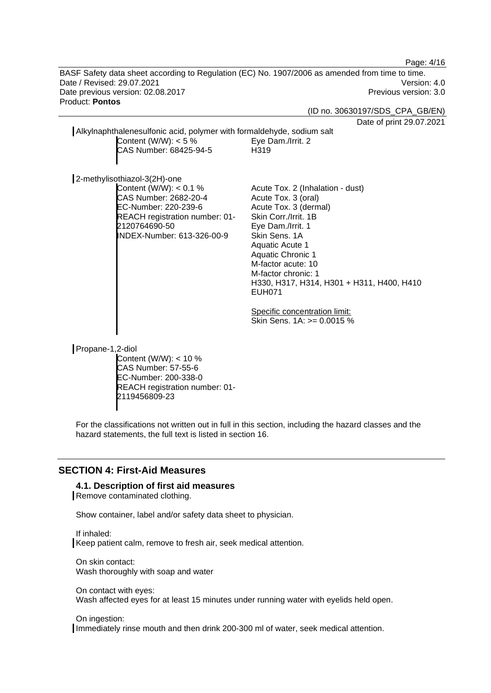Page: 4/16

BASF Safety data sheet according to Regulation (EC) No. 1907/2006 as amended from time to time. Date / Revised: 29.07.2021 Version: 4.0 Date previous version: 02.08.2017 **Previous version: 3.0** Previous version: 3.0 Product: **Pontos** 

(ID no. 30630197/SDS\_CPA\_GB/EN)

 $.2021$ 

|                                                                                                                                                             | Date of print 29.07                                                                                                                                                                                                                                                                                      |
|-------------------------------------------------------------------------------------------------------------------------------------------------------------|----------------------------------------------------------------------------------------------------------------------------------------------------------------------------------------------------------------------------------------------------------------------------------------------------------|
| Alkylnaphthalenesulfonic acid, polymer with formaldehyde, sodium salt<br>Content (W/W): $<$ 5 %                                                             | Eye Dam./Irrit. 2                                                                                                                                                                                                                                                                                        |
| CAS Number: 68425-94-5                                                                                                                                      | H319                                                                                                                                                                                                                                                                                                     |
| 2-methylisothiazol-3(2H)-one                                                                                                                                |                                                                                                                                                                                                                                                                                                          |
| Content (W/W): $< 0.1 \%$<br>CAS Number: 2682-20-4<br>EC-Number: 220-239-6<br>REACH registration number: 01-<br>2120764690-50<br>INDEX-Number: 613-326-00-9 | Acute Tox. 2 (Inhalation - dust)<br>Acute Tox. 3 (oral)<br>Acute Tox. 3 (dermal)<br>Skin Corr./Irrit. 1B<br>Eye Dam./Irrit. 1<br>Skin Sens, 1A<br>Aquatic Acute 1<br><b>Aquatic Chronic 1</b><br>M-factor acute: 10<br>M-factor chronic: 1<br>H330, H317, H314, H301 + H311, H400, H410<br><b>EUH071</b> |
|                                                                                                                                                             | Specific concentration limit:<br>Skin Sens. $1A: z = 0.0015 \%$                                                                                                                                                                                                                                          |
| Propane-1,2-diol<br>$\Gamma$ ontant $(N/M)/N$ : $\sim$ 10 %                                                                                                 |                                                                                                                                                                                                                                                                                                          |

ntent (W/W):  $<$  10 % CAS Number: 57-55-6 EC-Number: 200-338-0 REACH registration number: 01- 2119456809-23

For the classifications not written out in full in this section, including the hazard classes and the hazard statements, the full text is listed in section 16.

# **SECTION 4: First-Aid Measures**

#### **4.1. Description of first aid measures**

Remove contaminated clothing.

Show container, label and/or safety data sheet to physician.

If inhaled: Keep patient calm, remove to fresh air, seek medical attention.

On skin contact: Wash thoroughly with soap and water

On contact with eyes: Wash affected eyes for at least 15 minutes under running water with eyelids held open.

#### On ingestion:

Immediately rinse mouth and then drink 200-300 ml of water, seek medical attention.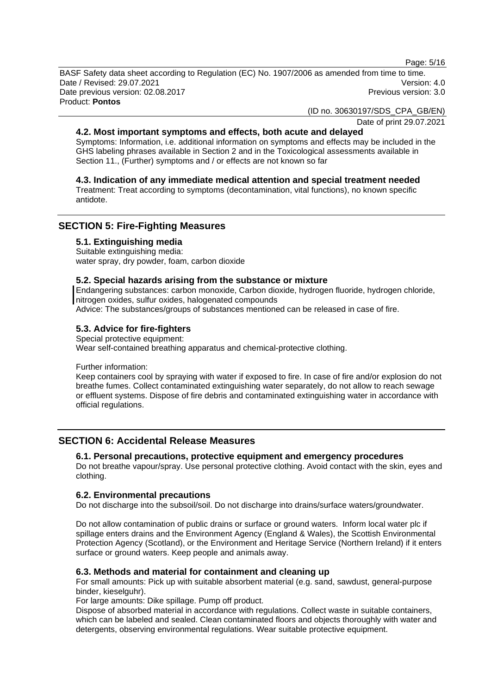Page: 5/16

BASF Safety data sheet according to Regulation (EC) No. 1907/2006 as amended from time to time. Date / Revised: 29.07.2021 Version: 4.0 Date previous version: 02.08.2017 **Previous version: 3.0** Previous version: 3.0 Product: **Pontos** 

(ID no. 30630197/SDS\_CPA\_GB/EN)

Date of print 29.07.2021

#### **4.2. Most important symptoms and effects, both acute and delayed**

Symptoms: Information, i.e. additional information on symptoms and effects may be included in the GHS labeling phrases available in Section 2 and in the Toxicological assessments available in Section 11., (Further) symptoms and / or effects are not known so far

## **4.3. Indication of any immediate medical attention and special treatment needed**

Treatment: Treat according to symptoms (decontamination, vital functions), no known specific antidote.

# **SECTION 5: Fire-Fighting Measures**

#### **5.1. Extinguishing media**

Suitable extinguishing media: water spray, dry powder, foam, carbon dioxide

#### **5.2. Special hazards arising from the substance or mixture**

Endangering substances: carbon monoxide, Carbon dioxide, hydrogen fluoride, hydrogen chloride, nitrogen oxides, sulfur oxides, halogenated compounds

Advice: The substances/groups of substances mentioned can be released in case of fire.

## **5.3. Advice for fire-fighters**

Special protective equipment: Wear self-contained breathing apparatus and chemical-protective clothing.

Further information:

Keep containers cool by spraying with water if exposed to fire. In case of fire and/or explosion do not breathe fumes. Collect contaminated extinguishing water separately, do not allow to reach sewage or effluent systems. Dispose of fire debris and contaminated extinguishing water in accordance with official regulations.

## **SECTION 6: Accidental Release Measures**

#### **6.1. Personal precautions, protective equipment and emergency procedures**

Do not breathe vapour/spray. Use personal protective clothing. Avoid contact with the skin, eyes and clothing.

## **6.2. Environmental precautions**

Do not discharge into the subsoil/soil. Do not discharge into drains/surface waters/groundwater.

Do not allow contamination of public drains or surface or ground waters. Inform local water plc if spillage enters drains and the Environment Agency (England & Wales), the Scottish Environmental Protection Agency (Scotland), or the Environment and Heritage Service (Northern Ireland) if it enters surface or ground waters. Keep people and animals away.

#### **6.3. Methods and material for containment and cleaning up**

For small amounts: Pick up with suitable absorbent material (e.g. sand, sawdust, general-purpose binder, kieselguhr).

For large amounts: Dike spillage. Pump off product.

Dispose of absorbed material in accordance with regulations. Collect waste in suitable containers, which can be labeled and sealed. Clean contaminated floors and objects thoroughly with water and detergents, observing environmental regulations. Wear suitable protective equipment.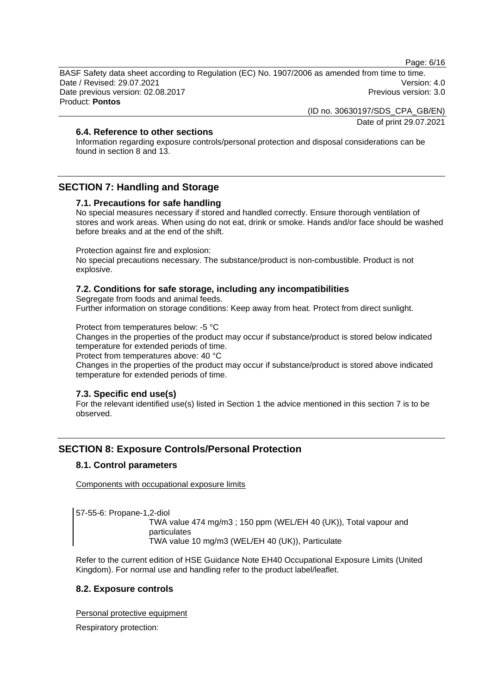Page: 6/16

BASF Safety data sheet according to Regulation (EC) No. 1907/2006 as amended from time to time. Date / Revised: 29.07.2021 Version: 4.0 Date previous version: 02.08.2017 **Previous version: 3.0** Previous version: 3.0 Product: **Pontos** 

(ID no. 30630197/SDS\_CPA\_GB/EN)

Date of print 29.07.2021

## **6.4. Reference to other sections**

Information regarding exposure controls/personal protection and disposal considerations can be found in section 8 and 13.

# **SECTION 7: Handling and Storage**

## **7.1. Precautions for safe handling**

No special measures necessary if stored and handled correctly. Ensure thorough ventilation of stores and work areas. When using do not eat, drink or smoke. Hands and/or face should be washed before breaks and at the end of the shift.

Protection against fire and explosion:

No special precautions necessary. The substance/product is non-combustible. Product is not explosive.

## **7.2. Conditions for safe storage, including any incompatibilities**

Segregate from foods and animal feeds.

Further information on storage conditions: Keep away from heat. Protect from direct sunlight.

Protect from temperatures below: -5 °C

Changes in the properties of the product may occur if substance/product is stored below indicated temperature for extended periods of time.

Protect from temperatures above: 40 °C

Changes in the properties of the product may occur if substance/product is stored above indicated temperature for extended periods of time.

## **7.3. Specific end use(s)**

For the relevant identified use(s) listed in Section 1 the advice mentioned in this section 7 is to be observed.

# **SECTION 8: Exposure Controls/Personal Protection**

## **8.1. Control parameters**

Components with occupational exposure limits

57-55-6: Propane-1,2-diol

TWA value 474 mg/m3 ; 150 ppm (WEL/EH 40 (UK)), Total vapour and particulates TWA value 10 mg/m3 (WEL/EH 40 (UK)), Particulate

Refer to the current edition of HSE Guidance Note EH40 Occupational Exposure Limits (United Kingdom). For normal use and handling refer to the product label/leaflet.

## **8.2. Exposure controls**

Personal protective equipment

Respiratory protection: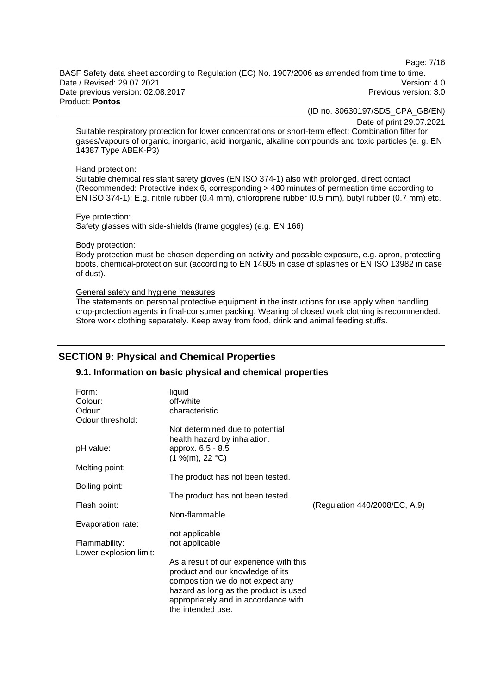Page: 7/16

BASF Safety data sheet according to Regulation (EC) No. 1907/2006 as amended from time to time. Date / Revised: 29.07.2021 Version: 4.0 Date previous version: 02.08.2017 **Previous version: 3.0** Previous version: 3.0 Product: **Pontos** 

(ID no. 30630197/SDS\_CPA\_GB/EN)

Date of print 29.07.2021

Suitable respiratory protection for lower concentrations or short-term effect: Combination filter for gases/vapours of organic, inorganic, acid inorganic, alkaline compounds and toxic particles (e. g. EN 14387 Type ABEK-P3)

#### Hand protection:

Suitable chemical resistant safety gloves (EN ISO 374-1) also with prolonged, direct contact (Recommended: Protective index 6, corresponding > 480 minutes of permeation time according to EN ISO 374-1): E.g. nitrile rubber (0.4 mm), chloroprene rubber (0.5 mm), butyl rubber (0.7 mm) etc.

#### Eye protection: Safety glasses with side-shields (frame goggles) (e.g. EN 166)

#### Body protection:

Body protection must be chosen depending on activity and possible exposure, e.g. apron, protecting boots, chemical-protection suit (according to EN 14605 in case of splashes or EN ISO 13982 in case of dust).

#### General safety and hygiene measures

The statements on personal protective equipment in the instructions for use apply when handling crop-protection agents in final-consumer packing. Wearing of closed work clothing is recommended. Store work clothing separately. Keep away from food, drink and animal feeding stuffs.

# **SECTION 9: Physical and Chemical Properties**

## **9.1. Information on basic physical and chemical properties**

| Form:                  | liquid                                  |                               |
|------------------------|-----------------------------------------|-------------------------------|
| Colour:                | off-white                               |                               |
| Odour:                 | characteristic                          |                               |
| Odour threshold:       |                                         |                               |
|                        | Not determined due to potential         |                               |
|                        | health hazard by inhalation.            |                               |
| pH value:              | approx. 6.5 - 8.5                       |                               |
|                        | (1 %(m), 22 °C)                         |                               |
| Melting point:         |                                         |                               |
|                        | The product has not been tested.        |                               |
| Boiling point:         |                                         |                               |
|                        | The product has not been tested.        |                               |
| Flash point:           |                                         | (Regulation 440/2008/EC, A.9) |
|                        | Non-flammable.                          |                               |
| Evaporation rate:      |                                         |                               |
|                        | not applicable                          |                               |
| Flammability:          | not applicable                          |                               |
| Lower explosion limit: |                                         |                               |
|                        | As a result of our experience with this |                               |
|                        | product and our knowledge of its        |                               |
|                        | composition we do not expect any        |                               |
|                        | hazard as long as the product is used   |                               |
|                        | appropriately and in accordance with    |                               |
|                        | the intended use.                       |                               |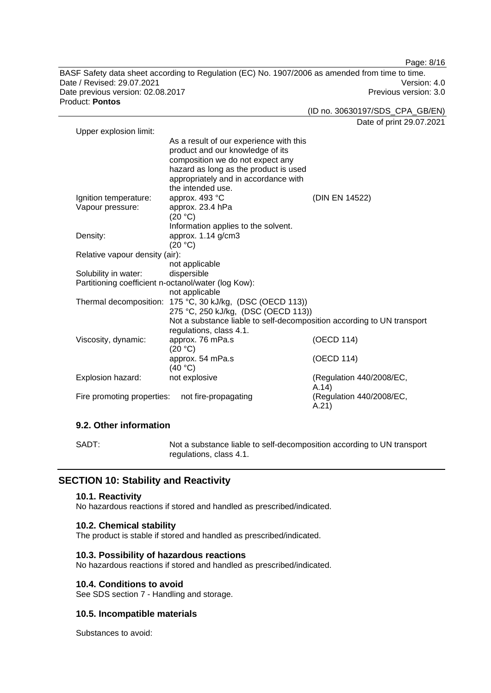BASF Safety data sheet according to Regulation (EC) No. 1907/2006 as amended from time to time. Date / Revised: 29.07.2021 Version: 4.0 Date previous version: 02.08.2017 **Previous version: 3.0** Previous version: 3.0 Product: **Pontos** 

(ID no. 30630197/SDS\_CPA\_GB/EN)

Date of print 29.07.2021

Page: 8/16

| Upper explosion limit:                                                 |                                                                                                                                                                                                                                                                                                                                |                                                                                                    |
|------------------------------------------------------------------------|--------------------------------------------------------------------------------------------------------------------------------------------------------------------------------------------------------------------------------------------------------------------------------------------------------------------------------|----------------------------------------------------------------------------------------------------|
|                                                                        | As a result of our experience with this                                                                                                                                                                                                                                                                                        |                                                                                                    |
|                                                                        | product and our knowledge of its                                                                                                                                                                                                                                                                                               |                                                                                                    |
|                                                                        | composition we do not expect any                                                                                                                                                                                                                                                                                               |                                                                                                    |
|                                                                        | hazard as long as the product is used                                                                                                                                                                                                                                                                                          |                                                                                                    |
|                                                                        | appropriately and in accordance with                                                                                                                                                                                                                                                                                           |                                                                                                    |
|                                                                        | the intended use.                                                                                                                                                                                                                                                                                                              |                                                                                                    |
| Ignition temperature:                                                  | approx. 493 °C                                                                                                                                                                                                                                                                                                                 | (DIN EN 14522)                                                                                     |
| Vapour pressure:                                                       | approx. 23.4 hPa                                                                                                                                                                                                                                                                                                               |                                                                                                    |
|                                                                        | (20 °C)                                                                                                                                                                                                                                                                                                                        |                                                                                                    |
|                                                                        | Information applies to the solvent.                                                                                                                                                                                                                                                                                            |                                                                                                    |
| Density:                                                               | approx. 1.14 g/cm3                                                                                                                                                                                                                                                                                                             |                                                                                                    |
|                                                                        | (20 °C)                                                                                                                                                                                                                                                                                                                        |                                                                                                    |
| Relative vapour density (air):                                         |                                                                                                                                                                                                                                                                                                                                |                                                                                                    |
|                                                                        | not applicable                                                                                                                                                                                                                                                                                                                 |                                                                                                    |
| Solubility in water:                                                   | dispersible                                                                                                                                                                                                                                                                                                                    |                                                                                                    |
| Partitioning coefficient n-octanol/water (log Kow):                    |                                                                                                                                                                                                                                                                                                                                |                                                                                                    |
|                                                                        |                                                                                                                                                                                                                                                                                                                                |                                                                                                    |
|                                                                        |                                                                                                                                                                                                                                                                                                                                |                                                                                                    |
|                                                                        |                                                                                                                                                                                                                                                                                                                                |                                                                                                    |
|                                                                        |                                                                                                                                                                                                                                                                                                                                |                                                                                                    |
|                                                                        |                                                                                                                                                                                                                                                                                                                                |                                                                                                    |
|                                                                        |                                                                                                                                                                                                                                                                                                                                |                                                                                                    |
|                                                                        |                                                                                                                                                                                                                                                                                                                                |                                                                                                    |
|                                                                        |                                                                                                                                                                                                                                                                                                                                |                                                                                                    |
|                                                                        |                                                                                                                                                                                                                                                                                                                                |                                                                                                    |
|                                                                        |                                                                                                                                                                                                                                                                                                                                |                                                                                                    |
|                                                                        |                                                                                                                                                                                                                                                                                                                                |                                                                                                    |
|                                                                        |                                                                                                                                                                                                                                                                                                                                |                                                                                                    |
| Viscosity, dynamic:<br>Explosion hazard:<br>Fire promoting properties: | not applicable<br>Thermal decomposition: 175 °C, 30 kJ/kg, (DSC (OECD 113))<br>275 °C, 250 kJ/kg, (DSC (OECD 113))<br>Not a substance liable to self-decomposition according to UN transport<br>regulations, class 4.1.<br>approx. 76 mPa.s<br>(20 °C)<br>approx. 54 mPa.s<br>(40 °C)<br>not explosive<br>not fire-propagating | (OECD 114)<br>(OECD 114)<br>(Regulation 440/2008/EC,<br>A.14)<br>(Regulation 440/2008/EC,<br>A.21) |

## **9.2. Other information**

SADT: Not a substance liable to self-decomposition according to UN transport regulations, class 4.1.

# **SECTION 10: Stability and Reactivity**

## **10.1. Reactivity**

No hazardous reactions if stored and handled as prescribed/indicated.

## **10.2. Chemical stability**

The product is stable if stored and handled as prescribed/indicated.

## **10.3. Possibility of hazardous reactions**

No hazardous reactions if stored and handled as prescribed/indicated.

#### **10.4. Conditions to avoid**

See SDS section 7 - Handling and storage.

## **10.5. Incompatible materials**

Substances to avoid: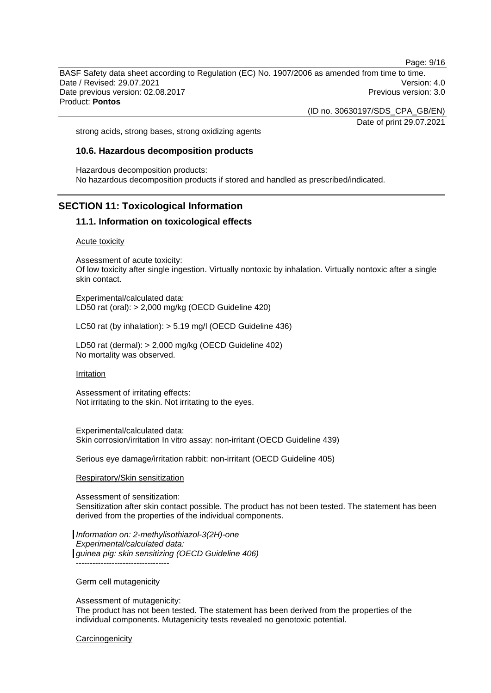Page: 9/16

BASF Safety data sheet according to Regulation (EC) No. 1907/2006 as amended from time to time. Date / Revised: 29.07.2021 Version: 4.0 Date previous version: 02.08.2017 **Previous version: 3.0** Previous version: 3.0 Product: **Pontos** 

(ID no. 30630197/SDS\_CPA\_GB/EN)

Date of print 29.07.2021

strong acids, strong bases, strong oxidizing agents

#### **10.6. Hazardous decomposition products**

Hazardous decomposition products: No hazardous decomposition products if stored and handled as prescribed/indicated.

## **SECTION 11: Toxicological Information**

#### **11.1. Information on toxicological effects**

Acute toxicity

Assessment of acute toxicity: Of low toxicity after single ingestion. Virtually nontoxic by inhalation. Virtually nontoxic after a single skin contact.

Experimental/calculated data: LD50 rat (oral): > 2,000 mg/kg (OECD Guideline 420)

LC50 rat (by inhalation): > 5.19 mg/l (OECD Guideline 436)

LD50 rat (dermal): > 2,000 mg/kg (OECD Guideline 402) No mortality was observed.

Irritation

Assessment of irritating effects: Not irritating to the skin. Not irritating to the eyes.

Experimental/calculated data: Skin corrosion/irritation In vitro assay: non-irritant (OECD Guideline 439)

Serious eye damage/irritation rabbit: non-irritant (OECD Guideline 405)

#### Respiratory/Skin sensitization

Assessment of sensitization: Sensitization after skin contact possible. The product has not been tested. The statement has been derived from the properties of the individual components.

*Information on: 2-methylisothiazol-3(2H)-one Experimental/calculated data: guinea pig: skin sensitizing (OECD Guideline 406)* ----------------------------------

Germ cell mutagenicity

Assessment of mutagenicity:

The product has not been tested. The statement has been derived from the properties of the individual components. Mutagenicity tests revealed no genotoxic potential.

**Carcinogenicity**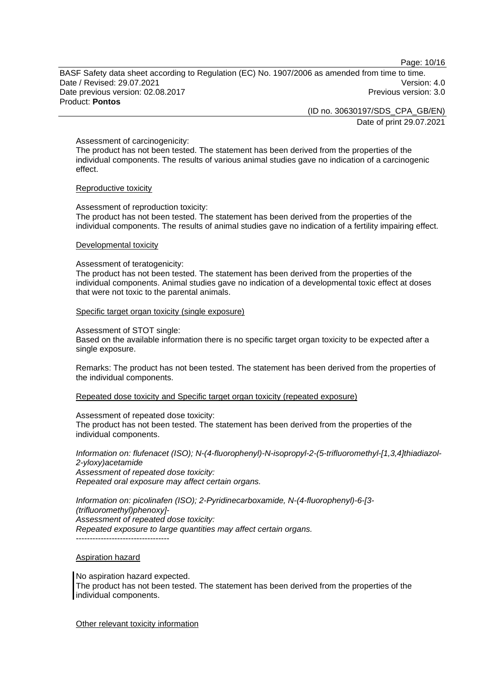Page: 10/16

BASF Safety data sheet according to Regulation (EC) No. 1907/2006 as amended from time to time. Date / Revised: 29.07.2021 Version: 4.0 Date previous version: 02.08.2017 **Previous version: 3.0** Previous version: 3.0 Product: **Pontos** 

(ID no. 30630197/SDS\_CPA\_GB/EN)

Date of print 29.07.2021

#### Assessment of carcinogenicity:

The product has not been tested. The statement has been derived from the properties of the individual components. The results of various animal studies gave no indication of a carcinogenic effect.

#### Reproductive toxicity

Assessment of reproduction toxicity:

The product has not been tested. The statement has been derived from the properties of the individual components. The results of animal studies gave no indication of a fertility impairing effect.

#### Developmental toxicity

Assessment of teratogenicity:

The product has not been tested. The statement has been derived from the properties of the individual components. Animal studies gave no indication of a developmental toxic effect at doses that were not toxic to the parental animals.

#### Specific target organ toxicity (single exposure)

Assessment of STOT single:

Based on the available information there is no specific target organ toxicity to be expected after a single exposure.

Remarks: The product has not been tested. The statement has been derived from the properties of the individual components.

Repeated dose toxicity and Specific target organ toxicity (repeated exposure)

Assessment of repeated dose toxicity:

The product has not been tested. The statement has been derived from the properties of the individual components.

*Information on: flufenacet (ISO); N-(4-fluorophenyl)-N-isopropyl-2-(5-trifluoromethyl-[1,3,4]thiadiazol-2-yloxy)acetamide Assessment of repeated dose toxicity:* 

*Repeated oral exposure may affect certain organs.* 

*Information on: picolinafen (ISO); 2-Pyridinecarboxamide, N-(4-fluorophenyl)-6-[3- (trifluoromethyl)phenoxy]- Assessment of repeated dose toxicity: Repeated exposure to large quantities may affect certain organs.*   $-$ 

## Aspiration hazard

No aspiration hazard expected. The product has not been tested. The statement has been derived from the properties of the individual components.

Other relevant toxicity information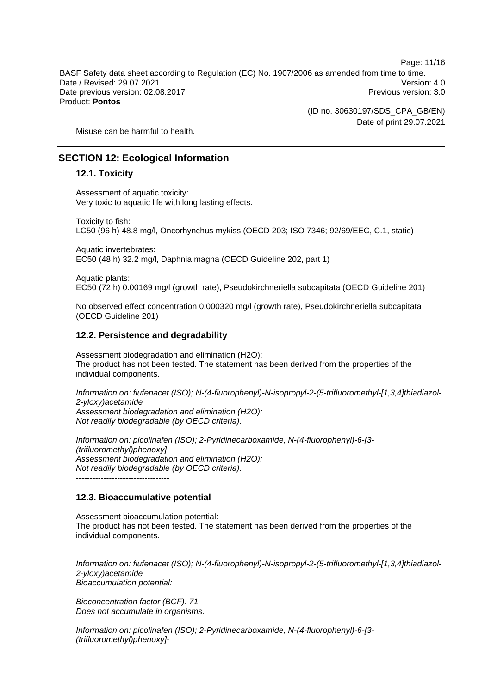BASF Safety data sheet according to Regulation (EC) No. 1907/2006 as amended from time to time. Date / Revised: 29.07.2021 Version: 4.0 Date previous version: 02.08.2017 **Previous version: 3.0** Previous version: 3.0 Product: **Pontos** 

(ID no. 30630197/SDS\_CPA\_GB/EN)

Date of print 29.07.2021

Page: 11/16

Misuse can be harmful to health.

# **SECTION 12: Ecological Information**

#### **12.1. Toxicity**

Assessment of aquatic toxicity: Very toxic to aquatic life with long lasting effects.

Toxicity to fish:

LC50 (96 h) 48.8 mg/l, Oncorhynchus mykiss (OECD 203; ISO 7346; 92/69/EEC, C.1, static)

Aquatic invertebrates: EC50 (48 h) 32.2 mg/l, Daphnia magna (OECD Guideline 202, part 1)

Aquatic plants: EC50 (72 h) 0.00169 mg/l (growth rate), Pseudokirchneriella subcapitata (OECD Guideline 201)

No observed effect concentration 0.000320 mg/l (growth rate), Pseudokirchneriella subcapitata (OECD Guideline 201)

#### **12.2. Persistence and degradability**

Assessment biodegradation and elimination (H2O): The product has not been tested. The statement has been derived from the properties of the individual components.

*Information on: flufenacet (ISO); N-(4-fluorophenyl)-N-isopropyl-2-(5-trifluoromethyl-[1,3,4]thiadiazol-2-yloxy)acetamide Assessment biodegradation and elimination (H2O): Not readily biodegradable (by OECD criteria).* 

*Information on: picolinafen (ISO); 2-Pyridinecarboxamide, N-(4-fluorophenyl)-6-[3- (trifluoromethyl)phenoxy]- Assessment biodegradation and elimination (H2O): Not readily biodegradable (by OECD criteria).* 

## **12.3. Bioaccumulative potential**

Assessment bioaccumulation potential: The product has not been tested. The statement has been derived from the properties of the individual components.

*Information on: flufenacet (ISO); N-(4-fluorophenyl)-N-isopropyl-2-(5-trifluoromethyl-[1,3,4]thiadiazol-2-yloxy)acetamide Bioaccumulation potential:* 

*Bioconcentration factor (BCF): 71 Does not accumulate in organisms.* 

*Information on: picolinafen (ISO); 2-Pyridinecarboxamide, N-(4-fluorophenyl)-6-[3- (trifluoromethyl)phenoxy]-*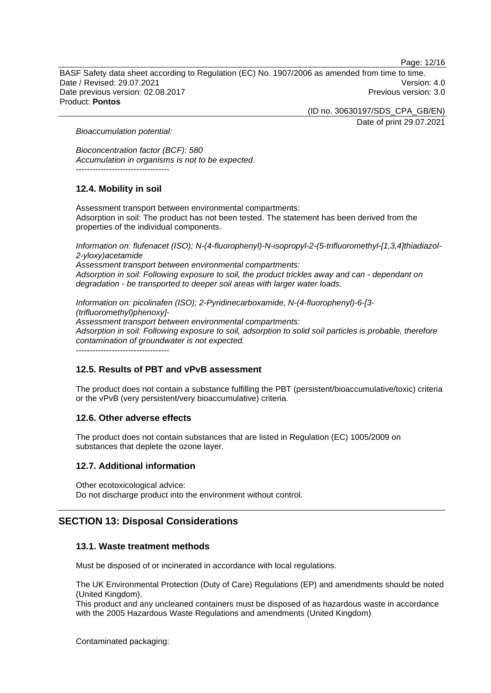Page: 12/16

BASF Safety data sheet according to Regulation (EC) No. 1907/2006 as amended from time to time. Date / Revised: 29.07.2021 Version: 4.0 Date previous version: 02.08.2017 **Previous version: 3.0** Previous version: 3.0 Product: **Pontos** 

> (ID no. 30630197/SDS\_CPA\_GB/EN) Date of print 29.07.2021

*Bioaccumulation potential:* 

*Bioconcentration factor (BCF): 580 Accumulation in organisms is not to be expected.*  ----------------------------------

# **12.4. Mobility in soil**

Assessment transport between environmental compartments: Adsorption in soil: The product has not been tested. The statement has been derived from the properties of the individual components.

*Information on: flufenacet (ISO); N-(4-fluorophenyl)-N-isopropyl-2-(5-trifluoromethyl-[1,3,4]thiadiazol-2-yloxy)acetamide Assessment transport between environmental compartments: Adsorption in soil: Following exposure to soil, the product trickles away and can - dependant on degradation - be transported to deeper soil areas with larger water loads.*

*Information on: picolinafen (ISO); 2-Pyridinecarboxamide, N-(4-fluorophenyl)-6-[3- (trifluoromethyl)phenoxy]- Assessment transport between environmental compartments: Adsorption in soil: Following exposure to soil, adsorption to solid soil particles is probable, therefore contamination of groundwater is not expected.*

----------------------------------

## **12.5. Results of PBT and vPvB assessment**

The product does not contain a substance fulfilling the PBT (persistent/bioaccumulative/toxic) criteria or the vPvB (very persistent/very bioaccumulative) criteria.

## **12.6. Other adverse effects**

The product does not contain substances that are listed in Regulation (EC) 1005/2009 on substances that deplete the ozone layer.

## **12.7. Additional information**

Other ecotoxicological advice: Do not discharge product into the environment without control.

# **SECTION 13: Disposal Considerations**

## **13.1. Waste treatment methods**

Must be disposed of or incinerated in accordance with local regulations.

The UK Environmental Protection (Duty of Care) Regulations (EP) and amendments should be noted (United Kingdom).

This product and any uncleaned containers must be disposed of as hazardous waste in accordance with the 2005 Hazardous Waste Regulations and amendments (United Kingdom)

Contaminated packaging: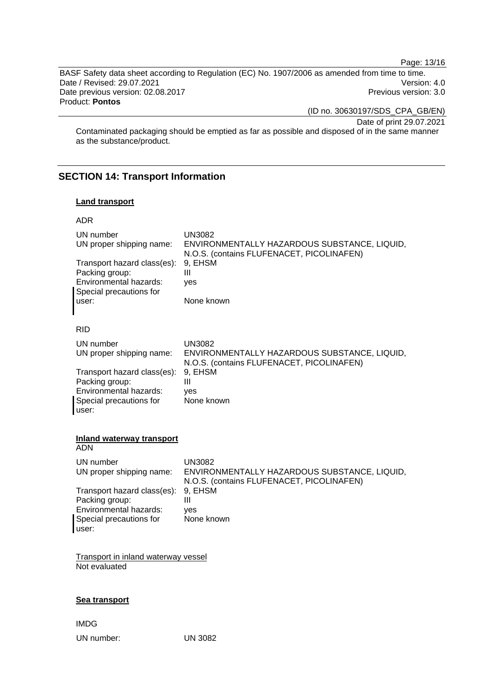Page: 13/16

BASF Safety data sheet according to Regulation (EC) No. 1907/2006 as amended from time to time. Date / Revised: 29.07.2021 Version: 4.0 Date previous version: 02.08.2017 **Previous version: 3.0** Previous version: 3.0 Product: **Pontos** 

(ID no. 30630197/SDS\_CPA\_GB/EN)

Date of print 29.07.2021

Contaminated packaging should be emptied as far as possible and disposed of in the same manner as the substance/product.

# **SECTION 14: Transport Information**

UN number: UN 3082

#### **Land transport**

| ADR                                                                                                         |                                                                                                            |
|-------------------------------------------------------------------------------------------------------------|------------------------------------------------------------------------------------------------------------|
| UN number<br>UN proper shipping name:                                                                       | <b>UN3082</b><br>ENVIRONMENTALLY HAZARDOUS SUBSTANCE, LIQUID,<br>N.O.S. (contains FLUFENACET, PICOLINAFEN) |
| Transport hazard class(es):<br>Packing group:<br>Environmental hazards:<br>Special precautions for<br>user: | 9, EHSM<br>Ш<br>yes<br>None known                                                                          |
| <b>RID</b>                                                                                                  |                                                                                                            |
| UN number<br>UN proper shipping name:                                                                       | <b>UN3082</b><br>ENVIRONMENTALLY HAZARDOUS SUBSTANCE, LIQUID,<br>N.O.S. (contains FLUFENACET, PICOLINAFEN) |
| Transport hazard class(es):<br>Packing group:<br>Environmental hazards:<br>Special precautions for<br>user: | 9, EHSM<br>Ш<br>ves<br>None known                                                                          |
|                                                                                                             |                                                                                                            |
| <b>Inland waterway transport</b><br>ADN                                                                     |                                                                                                            |
| UN number<br>UN proper shipping name:                                                                       | <b>UN3082</b><br>ENVIRONMENTALLY HAZARDOUS SUBSTANCE, LIQUID,<br>N.O.S. (contains FLUFENACET, PICOLINAFEN) |
| Transport hazard class(es):<br>Packing group:                                                               | 9, EHSM<br>Ш                                                                                               |
| Environmental hazards:<br>Special precautions for<br>user:                                                  | ves<br>None known                                                                                          |
| <b>Transport in inland waterway vessel</b><br>Not evaluated                                                 |                                                                                                            |
| Sea transport                                                                                               |                                                                                                            |
| <b>IMDG</b>                                                                                                 |                                                                                                            |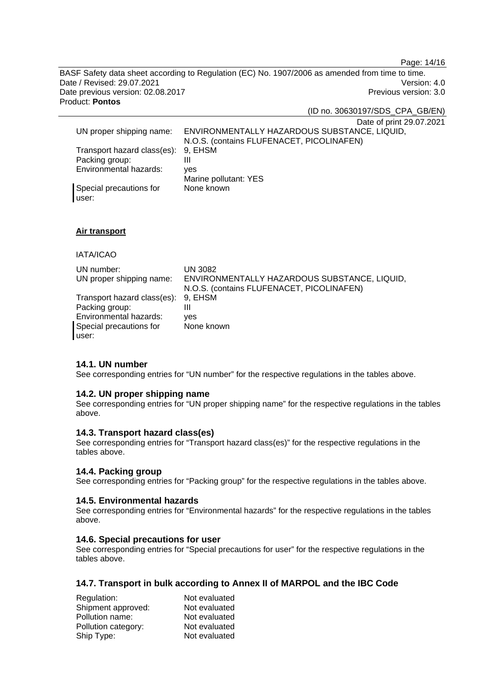Page: 14/16

BASF Safety data sheet according to Regulation (EC) No. 1907/2006 as amended from time to time. Date / Revised: 29.07.2021 Version: 4.0 Date previous version: 02.08.2017 **Previous version: 3.0** Previous version: 3.0 Product: **Pontos** 

(ID no. 30630197/SDS\_CPA\_GB/EN)

Date of print 29.07.2021

|                                     | <b>Date of print zo.or.</b>                  |
|-------------------------------------|----------------------------------------------|
| UN proper shipping name:            | ENVIRONMENTALLY HAZARDOUS SUBSTANCE, LIQUID, |
|                                     | N.O.S. (contains FLUFENACET, PICOLINAFEN)    |
| Transport hazard class(es): 9, EHSM |                                              |
| Packing group:                      |                                              |
| Environmental hazards:              | ves                                          |
|                                     | Marine pollutant: YES                        |
| Special precautions for             | None known                                   |
| user:                               |                                              |

#### **Air transport**

## IATA/ICAO

| UN number:<br>UN proper shipping name:   | UN 3082<br>ENVIRONMENTALLY HAZARDOUS SUBSTANCE, LIQUID,<br>N.O.S. (contains FLUFENACET, PICOLINAFEN) |
|------------------------------------------|------------------------------------------------------------------------------------------------------|
| Transport hazard class(es): 9, EHSM      |                                                                                                      |
| Packing group:<br>Environmental hazards: | Ш<br>ves                                                                                             |
| Special precautions for                  | None known                                                                                           |
| user:                                    |                                                                                                      |

## **14.1. UN number**

See corresponding entries for "UN number" for the respective regulations in the tables above.

#### **14.2. UN proper shipping name**

See corresponding entries for "UN proper shipping name" for the respective regulations in the tables above.

#### **14.3. Transport hazard class(es)**

See corresponding entries for "Transport hazard class(es)" for the respective regulations in the tables above.

#### **14.4. Packing group**

See corresponding entries for "Packing group" for the respective regulations in the tables above.

#### **14.5. Environmental hazards**

See corresponding entries for "Environmental hazards" for the respective regulations in the tables above.

#### **14.6. Special precautions for user**

See corresponding entries for "Special precautions for user" for the respective regulations in the tables above.

# **14.7. Transport in bulk according to Annex II of MARPOL and the IBC Code**

| Regulation:         | Not evaluated |
|---------------------|---------------|
| Shipment approved:  | Not evaluated |
| Pollution name:     | Not evaluated |
| Pollution category: | Not evaluated |
| Ship Type:          | Not evaluated |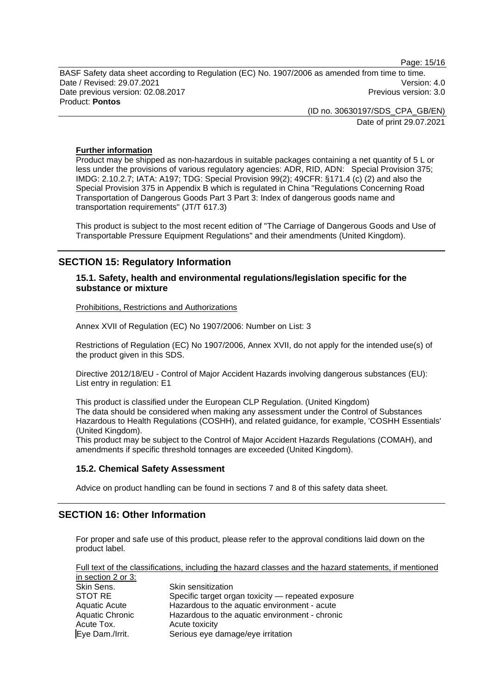Page: 15/16

BASF Safety data sheet according to Regulation (EC) No. 1907/2006 as amended from time to time. Date / Revised: 29.07.2021 Version: 4.0 Date previous version: 02.08.2017 **Previous version: 3.0** Previous version: 3.0 Product: **Pontos** 

> (ID no. 30630197/SDS\_CPA\_GB/EN) Date of print 29.07.2021

#### **Further information**

Product may be shipped as non-hazardous in suitable packages containing a net quantity of 5 L or less under the provisions of various regulatory agencies: ADR, RID, ADN: Special Provision 375; IMDG: 2.10.2.7; IATA: A197; TDG: Special Provision 99(2); 49CFR: §171.4 (c) (2) and also the Special Provision 375 in Appendix B which is regulated in China "Regulations Concerning Road Transportation of Dangerous Goods Part 3 Part 3: Index of dangerous goods name and transportation requirements" (JT/T 617.3)

This product is subject to the most recent edition of "The Carriage of Dangerous Goods and Use of Transportable Pressure Equipment Regulations" and their amendments (United Kingdom).

# **SECTION 15: Regulatory Information**

## **15.1. Safety, health and environmental regulations/legislation specific for the substance or mixture**

Prohibitions, Restrictions and Authorizations

Annex XVII of Regulation (EC) No 1907/2006: Number on List: 3

Restrictions of Regulation (EC) No 1907/2006, Annex XVII, do not apply for the intended use(s) of the product given in this SDS.

Directive 2012/18/EU - Control of Major Accident Hazards involving dangerous substances (EU): List entry in regulation: E1

This product is classified under the European CLP Regulation. (United Kingdom) The data should be considered when making any assessment under the Control of Substances Hazardous to Health Regulations (COSHH), and related guidance, for example, 'COSHH Essentials' (United Kingdom).

This product may be subject to the Control of Major Accident Hazards Regulations (COMAH), and amendments if specific threshold tonnages are exceeded (United Kingdom).

#### **15.2. Chemical Safety Assessment**

Advice on product handling can be found in sections 7 and 8 of this safety data sheet.

# **SECTION 16: Other Information**

For proper and safe use of this product, please refer to the approval conditions laid down on the product label.

Full text of the classifications, including the hazard classes and the hazard statements, if mentioned in section 2 or 3:

| $\overline{a}$ in Scului 2 VI 9. |                                                    |
|----------------------------------|----------------------------------------------------|
| Skin Sens.                       | Skin sensitization                                 |
| STOT RE                          | Specific target organ toxicity — repeated exposure |
| <b>Aquatic Acute</b>             | Hazardous to the aquatic environment - acute       |
| <b>Aquatic Chronic</b>           | Hazardous to the aquatic environment - chronic     |
| Acute Tox.                       | Acute toxicity                                     |
| Eye Dam./Irrit.                  | Serious eye damage/eye irritation                  |
|                                  |                                                    |